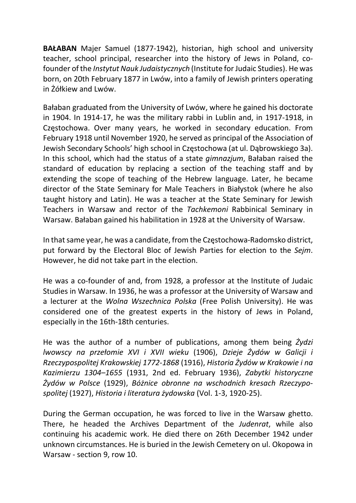BAŁABAN Majer Samuel (1877-1942), historian, high school and university teacher, school principal, researcher into the history of Jews in Poland, cofounder of the Instytut Nauk Judaistycznych (Institute for Judaic Studies). He was born, on 20th February 1877 in Lwów, into a family of Jewish printers operating in Żółkiew and Lwów.

Bałaban graduated from the University of Lwów, where he gained his doctorate in 1904. In 1914-17, he was the military rabbi in Lublin and, in 1917-1918, in Częstochowa. Over many years, he worked in secondary education. From February 1918 until November 1920, he served as principal of the Association of Jewish Secondary Schools' high school in Częstochowa (at ul. Dąbrowskiego 3a). In this school, which had the status of a state *gimnazjum*, Bałaban raised the standard of education by replacing a section of the teaching staff and by extending the scope of teaching of the Hebrew language. Later, he became director of the State Seminary for Male Teachers in Białystok (where he also taught history and Latin). He was a teacher at the State Seminary for Jewish Teachers in Warsaw and rector of the Tachkemoni Rabbinical Seminary in Warsaw. Bałaban gained his habilitation in 1928 at the University of Warsaw.

In that same year, he was a candidate, from the Częstochowa-Radomsko district, put forward by the Electoral Bloc of Jewish Parties for election to the Sejm. However, he did not take part in the election.

He was a co-founder of and, from 1928, a professor at the Institute of Judaic Studies in Warsaw. In 1936, he was a professor at the University of Warsaw and a lecturer at the Wolna Wszechnica Polska (Free Polish University). He was considered one of the greatest experts in the history of Jews in Poland, especially in the 16th-18th centuries.

He was the author of a number of publications, among them being  $\dot{Z}ydzi$ lwowscy na przełomie XVI i XVII wieku (1906), Dzieje Żydów w Galicji i Rzeczypospolitej Krakowskiej 1772-1868 (1916), Historia Żydów w Krakowie i na Kazimierzu 1304–1655 (1931, 2nd ed. February 1936), Zabytki historyczne Żydów w Polsce (1929), Bóżnice obronne na wschodnich kresach Rzeczypospolitej (1927), Historia i literatura żydowska (Vol. 1-3, 1920-25).

During the German occupation, he was forced to live in the Warsaw ghetto. There, he headed the Archives Department of the Judenrat, while also continuing his academic work. He died there on 26th December 1942 under unknown circumstances. He is buried in the Jewish Cemetery on ul. Okopowa in Warsaw - section 9, row 10.